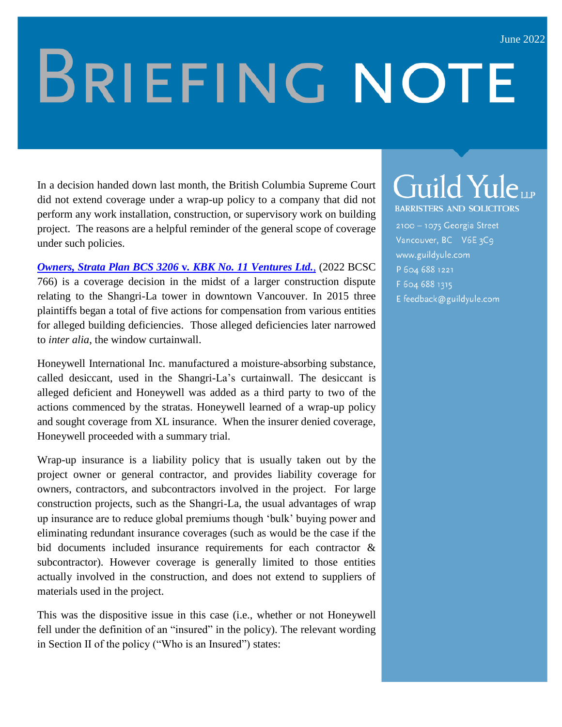## **BRIEFING NOTE**

In a decision handed down last month, the British Columbia Supreme Court did not extend coverage under a wrap-up policy to a company that did not perform any work installation, construction, or supervisory work on building project. The reasons are a helpful reminder of the general scope of coverage under such policies.

*[Owners, Strata Plan BCS 3206](https://www.canlii.org/en/bc/bcsc/doc/2022/2022bcsc766/2022bcsc766.html?autocompleteStr=Owners%2C%20Strata%20Plan%20BCS%203206%20v.%20KBK%20No.%2011%20Ventures%20Ltd.%2C%20&autocompletePos=3)* **v***. KBK No. 11 Ventures Ltd.*, (2022 BCSC 766) is a coverage decision in the midst of a larger construction dispute relating to the Shangri-La tower in downtown Vancouver. In 2015 three plaintiffs began a total of five actions for compensation from various entities for alleged building deficiencies. Those alleged deficiencies later narrowed to *inter alia*, the window curtainwall.

Honeywell International Inc. manufactured a moisture-absorbing substance, called desiccant, used in the Shangri-La's curtainwall. The desiccant is alleged deficient and Honeywell was added as a third party to two of the actions commenced by the stratas. Honeywell learned of a wrap-up policy and sought coverage from XL insurance. When the insurer denied coverage, Honeywell proceeded with a summary trial.

Wrap-up insurance is a liability policy that is usually taken out by the project owner or general contractor, and provides liability coverage for owners, contractors, and subcontractors involved in the project. For large construction projects, such as the Shangri-La, the usual advantages of wrap up insurance are to reduce global premiums though 'bulk' buying power and eliminating redundant insurance coverages (such as would be the case if the bid documents included insurance requirements for each contractor & subcontractor). However coverage is generally limited to those entities actually involved in the construction, and does not extend to suppliers of materials used in the project.

This was the dispositive issue in this case (i.e., whether or not Honeywell fell under the definition of an "insured" in the policy). The relevant wording in Section II of the policy ("Who is an Insured") states:

## Guild Yuleur **BARRISTERS AND SOLICITORS**

2100 - 1075 Georgia Street Vancouver, BC V6E 3C9 www.guildyule.com P 604 688 1221 F 604 688 1315 E feedback@guildyule.com